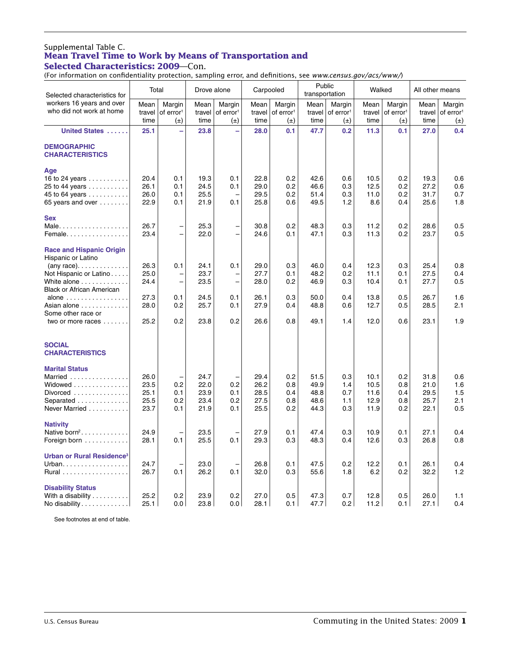### Supplemental Table C. **Mean Travel Time to Work by Means of Transportation and Selected Characteristics: 2009**—Con.

(For information on confidentiality protection, sampling error, and definitions, see *www.census.gov/acs/www/*)

| Selected characteristics for                                                                                                                                                                                                                                                              | Total                                        |                                                           | Drove alone                                  |                                               | Carpooled                                    |                                            | Public<br>transportation                     |                                            | Walked                                       |                                            | All other means                              |                                            |
|-------------------------------------------------------------------------------------------------------------------------------------------------------------------------------------------------------------------------------------------------------------------------------------------|----------------------------------------------|-----------------------------------------------------------|----------------------------------------------|-----------------------------------------------|----------------------------------------------|--------------------------------------------|----------------------------------------------|--------------------------------------------|----------------------------------------------|--------------------------------------------|----------------------------------------------|--------------------------------------------|
| workers 16 years and over<br>who did not work at home                                                                                                                                                                                                                                     | Mean<br>travel<br>time                       | Margin<br>of error <sup>1</sup><br>$(\pm)$                | Mean<br>travel<br>time                       | Margin<br>of error <sup>1</sup><br>$(\pm)$    | Mean<br>travel<br>time                       | Margin<br>of error <sup>1</sup><br>$(\pm)$ | Mean<br>travel<br>time                       | Margin<br>of error <sup>1</sup><br>$(\pm)$ | Mean<br>travel<br>time                       | Margin<br>of error <sup>1</sup><br>$(\pm)$ | Mean<br>travel<br>time                       | Margin<br>of error <sup>1</sup><br>$(\pm)$ |
| United States                                                                                                                                                                                                                                                                             | 25.1                                         | $\equiv$                                                  | 23.8                                         | L,                                            | 28.0                                         | 0.1                                        | 47.7                                         | 0.2                                        | 11.3                                         | 0.1                                        | 27.0                                         | 0.4                                        |
| <b>DEMOGRAPHIC</b><br><b>CHARACTERISTICS</b>                                                                                                                                                                                                                                              |                                              |                                                           |                                              |                                               |                                              |                                            |                                              |                                            |                                              |                                            |                                              |                                            |
| Age<br>16 to 24 years $\ldots \ldots \ldots$<br>25 to 44 years<br>45 to 64 years $\ldots \ldots \ldots$<br>65 years and over                                                                                                                                                              | 20.4<br>26.1<br>26.0<br>22.9                 | 0.1<br>0.1<br>0.1<br>0.1                                  | 19.3<br>24.5<br>25.5<br>21.9                 | 0.1<br>0.1<br>0.1                             | 22.8<br>29.0<br>29.5<br>25.8                 | 0.2<br>0.2<br>0.2<br>0.6                   | 42.6<br>46.6<br>51.4<br>49.5                 | 0.6<br>0.3<br>0.3<br>1.2                   | 10.5<br>12.5<br>11.0<br>8.6                  | 0.2<br>0.2<br>0.2<br>0.4                   | 19.3<br>27.2<br>31.7<br>25.6                 | 0.6<br>0.6<br>0.7<br>1.8                   |
| <b>Sex</b><br>Male<br>Female                                                                                                                                                                                                                                                              | 26.7<br>23.4                                 | $\overline{\phantom{0}}$<br>$\overline{\phantom{0}}$      | 25.3<br>22.0                                 | $\overline{\phantom{0}}$<br>$\overline{a}$    | 30.8<br>24.6                                 | 0.2<br>0.1                                 | 48.3<br>47.1                                 | 0.3<br>0.3                                 | 11.2<br>11.3                                 | 0.2<br>0.2                                 | 28.6<br>23.7                                 | 0.5<br>0.5                                 |
| <b>Race and Hispanic Origin</b><br>Hispanic or Latino<br>$(\text{any race}) \dots \dots \dots \dots$<br>Not Hispanic or Latino<br>White alone<br><b>Black or African American</b><br>alone $\ldots \ldots \ldots \ldots \ldots$<br>Asian alone<br>Some other race or<br>two or more races | 26.3<br>25.0<br>24.4<br>27.3<br>28.0<br>25.2 | 0.1<br>-<br>$\overline{\phantom{0}}$<br>0.1<br>0.2<br>0.2 | 24.1<br>23.7<br>23.5<br>24.5<br>25.7<br>23.8 | 0.1<br>$\qquad \qquad -$<br>0.1<br>0.1<br>0.2 | 29.0<br>27.7<br>28.0<br>26.1<br>27.9<br>26.6 | 0.3<br>0.1<br>0.2<br>0.3<br>0.4<br>0.8     | 46.0<br>48.2<br>46.9<br>50.0<br>48.8<br>49.1 | 0.4<br>0.2<br>0.3<br>0.4<br>0.6<br>1.4     | 12.3<br>11.1<br>10.4<br>13.8<br>12.7<br>12.0 | 0.3<br>0.1<br>0.1<br>0.5<br>0.5<br>0.6     | 25.4<br>27.5<br>27.7<br>26.7<br>28.5<br>23.1 | 0.8<br>0.4<br>0.5<br>1.6<br>2.1<br>1.9     |
| <b>SOCIAL</b><br><b>CHARACTERISTICS</b>                                                                                                                                                                                                                                                   |                                              |                                                           |                                              |                                               |                                              |                                            |                                              |                                            |                                              |                                            |                                              |                                            |
| <b>Marital Status</b><br>Married<br>Widowed<br>Divorced $\ldots \ldots \ldots \ldots$<br>Separated<br>Never Married                                                                                                                                                                       | 26.0<br>23.5<br>25.1<br>25.5<br>23.7         | 0.2<br>0.1<br>0.2<br>0.1                                  | 24.7<br>22.0<br>23.9<br>23.4<br>21.9         | 0.2<br>0.1<br>0.2<br>0.1                      | 29.4<br>26.2<br>28.5<br>27.5<br>25.5         | 0.2<br>0.8<br>0.4<br>0.8<br>0.2            | 51.5<br>49.9<br>48.8<br>48.6<br>44.3         | 0.3<br>1.4<br>0.7<br>1.1<br>0.3            | 10.1<br>10.5<br>11.6<br>12.9<br>11.9         | 0.2<br>0.8<br>0.4<br>0.8<br>0.2            | 31.8<br>21.0<br>29.5<br>25.7<br>22.1         | 0.6<br>1.6<br>1.5<br>2.1<br>0.5            |
| <b>Nativity</b><br>Native born <sup>2</sup> .<br>Foreign born                                                                                                                                                                                                                             | 24.9<br>28.1                                 | 0.1                                                       | 23.5<br>25.5                                 | 0.1                                           | 27.9<br>29.3                                 | 0.1<br>0.3                                 | 47.4<br>48.3                                 | 0.3<br>0.4                                 | 10.9<br>12.6                                 | 0.1<br>0.3                                 | 27.1<br>26.8                                 | 0.4<br>0.8                                 |
| <b>Urban or Rural Residence<sup>3</sup></b><br>Urban.<br>Rural                                                                                                                                                                                                                            | 24.7<br>26.7                                 | $\overline{\phantom{0}}$<br>0.1                           | 23.0<br>26.2                                 | 0.1                                           | 26.8<br>32.0                                 | 0.1<br>0.3                                 | 47.5<br>55.6                                 | 0.2<br>1.8                                 | 12.2<br>6.2                                  | 0.1<br>0.2                                 | 26.1<br>32.2                                 | 0.4<br>1.2                                 |
| <b>Disability Status</b><br>With a disability $\ldots \ldots \ldots$<br>No disability                                                                                                                                                                                                     | 25.2<br>25.1                                 | 0.2<br>0.0                                                | 23.9<br>23.8                                 | 0.2<br>0.0                                    | 27.0<br>28.1                                 | 0.5<br>0.1                                 | 47.3<br>47.7                                 | 0.7<br>0.2                                 | 12.8<br>11.2                                 | 0.5<br>0.1                                 | 26.0<br>27.1                                 | 1.1<br>0.4                                 |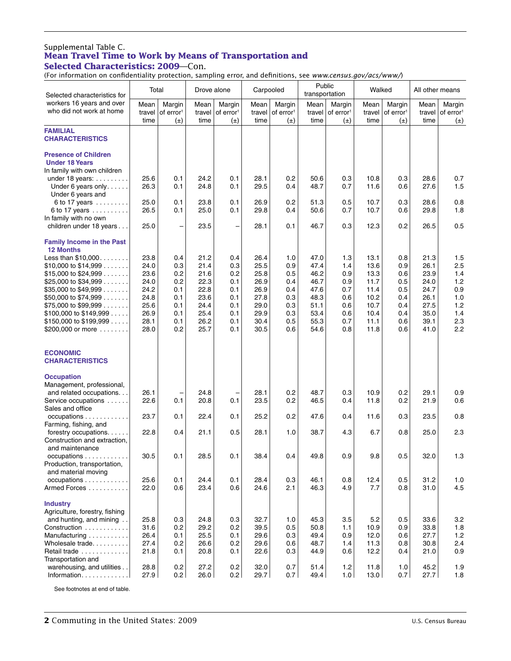# Supplemental Table C. **Mean Travel Time to Work by Means of Transportation and**

**Selected Characteristics: 2009**—Con.

(For information on confidentiality protection, sampling error, and definitions, see *www.census.gov/acs/www/*)

| Selected characteristics for                                                                                                                      | Total                                |                                            | Drove alone                          |                                            | Carpooled                            |                                            | Public<br>transportation             |                                                   | Walked                              |                                            | All other means                      |                                            |
|---------------------------------------------------------------------------------------------------------------------------------------------------|--------------------------------------|--------------------------------------------|--------------------------------------|--------------------------------------------|--------------------------------------|--------------------------------------------|--------------------------------------|---------------------------------------------------|-------------------------------------|--------------------------------------------|--------------------------------------|--------------------------------------------|
| workers 16 years and over<br>who did not work at home                                                                                             | Mean<br>travel<br>time               | Margin<br>of error <sup>1</sup><br>$(\pm)$ | Mean<br>travel<br>time               | Margin<br>of error <sup>1</sup><br>$(\pm)$ | Mean<br>travel<br>time               | Margin<br>of error <sup>1</sup><br>$(\pm)$ | Mean<br>time                         | Margin<br>travel of error <sup>1</sup><br>$(\pm)$ | Mean<br>travel<br>time              | Margin<br>of error <sup>1</sup><br>$(\pm)$ | Mean<br>travel<br>time               | Margin<br>of error <sup>1</sup><br>$(\pm)$ |
| <b>FAMILIAL</b><br><b>CHARACTERISTICS</b>                                                                                                         |                                      |                                            |                                      |                                            |                                      |                                            |                                      |                                                   |                                     |                                            |                                      |                                            |
| <b>Presence of Children</b><br><b>Under 18 Years</b><br>In family with own children                                                               |                                      |                                            |                                      |                                            |                                      |                                            |                                      |                                                   |                                     |                                            |                                      |                                            |
| under 18 years:<br>Under 6 years only<br>Under 6 years and                                                                                        | 25.6<br>26.3                         | 0.1<br>0.1                                 | 24.2<br>24.8                         | 0.1<br>0.1                                 | 28.1<br>29.5                         | 0.2<br>0.4                                 | 50.6<br>48.7                         | 0.3<br>0.7                                        | 10.8<br>11.6                        | 0.3<br>0.6                                 | 28.6<br>27.6                         | 0.7<br>1.5                                 |
| 6 to 17 years<br>6 to 17 years                                                                                                                    | 25.0<br>26.5                         | 0.1<br>0.1                                 | 23.8<br>25.0                         | 0.1<br>0.1                                 | 26.9<br>29.8                         | 0.2<br>0.4                                 | 51.3<br>50.6                         | 0.5<br>0.7                                        | 10.7<br>10.7                        | 0.3<br>0.6                                 | 28.6<br>29.8                         | 0.8<br>1.8                                 |
| In family with no own<br>children under 18 years                                                                                                  | 25.0                                 | $\qquad \qquad -$                          | 23.5                                 | ÷                                          | 28.1                                 | 0.1                                        | 46.7                                 | 0.3                                               | 12.3                                | 0.2                                        | 26.5                                 | 0.5                                        |
| <b>Family Income in the Past</b><br><b>12 Months</b>                                                                                              |                                      |                                            |                                      |                                            |                                      |                                            |                                      |                                                   |                                     |                                            |                                      |                                            |
| Less than \$10,000<br>\$10,000 to \$14,999 $\ldots$<br>\$15,000 to \$24,999<br>\$25,000 to \$34,999 $\ldots$                                      | 23.8<br>24.0<br>23.6<br>24.0         | 0.4<br>0.3<br>0.2<br>0.2                   | 21.2<br>21.4<br>21.6<br>22.3         | 0.4<br>0.3<br>0.2<br>0.1                   | 26.4<br>25.5<br>25.8<br>26.9         | 1.0<br>0.9<br>0.5<br>0.4                   | 47.0<br>47.4<br>46.2<br>46.7         | 1.3<br>1.4<br>0.9<br>0.9                          | 13.1<br>13.6<br>13.3<br>11.7        | 0.8<br>0.9<br>0.6<br>0.5                   | 21.3<br>26.1<br>23.9<br>24.0         | 1.5<br>2.5<br>1.4<br>1.2                   |
| \$35,000 to \$49,999 $\dots$<br>\$50,000 to \$74,999<br>\$75,000 to \$99,999 $\dots$                                                              | 24.2<br>24.8<br>25.6                 | 0.1<br>0.1<br>0.1                          | 22.8<br>23.6<br>24.4                 | 0.1<br>0.1<br>0.1                          | 26.9<br>27.8<br>29.0                 | 0.4<br>0.3<br>0.3                          | 47.6<br>48.3<br>51.1                 | 0.7<br>0.6<br>0.6                                 | 11.4<br>10.2<br>10.7                | 0.5<br>0.4<br>0.4                          | 24.7<br>26.1<br>27.5                 | 0.9<br>1.0<br>1.2                          |
| $$100,000$ to $$149,999$<br>$$150,000$ to $$199,999$                                                                                              | 26.9<br>28.1                         | 0.1<br>0.1                                 | 25.4<br>26.2                         | 0.1<br>0.1                                 | 29.9<br>30.4                         | 0.3<br>0.5                                 | 53.4<br>55.3                         | 0.6<br>0.7                                        | 10.4<br>11.1                        | 0.4<br>0.6                                 | 35.0<br>39.1                         | 1.4<br>2.3                                 |
| \$200,000 or more                                                                                                                                 | 28.0                                 | 0.2                                        | 25.7                                 | 0.1                                        | 30.5                                 | 0.6                                        | 54.6                                 | 0.8                                               | 11.8                                | 0.6                                        | 41.0                                 | 2.2                                        |
| <b>ECONOMIC</b><br><b>CHARACTERISTICS</b>                                                                                                         |                                      |                                            |                                      |                                            |                                      |                                            |                                      |                                                   |                                     |                                            |                                      |                                            |
| <b>Occupation</b><br>Management, professional,<br>and related occupations.<br>Service occupations                                                 | 26.1<br>22.6                         | 0.1                                        | 24.8<br>20.8                         | 0.1                                        | 28.1<br>23.5                         | 0.2<br>0.2                                 | 48.7<br>46.5                         | 0.3<br>0.4                                        | 10.9<br>11.8                        | 0.2<br>0.2                                 | 29.1<br>21.9                         | 0.9<br>0.6                                 |
| Sales and office<br>occupations<br>.                                                                                                              | 23.7                                 | 0.1                                        | 22.4                                 | 0.1                                        | 25.2                                 | 0.2                                        | 47.6                                 | 0.4                                               | 11.6                                | 0.3                                        | 23.5                                 | 0.8                                        |
| Farming, fishing, and<br>forestry occupations<br>Construction and extraction,                                                                     | 22.8                                 | 0.4                                        | 21.1                                 | 0.5                                        | 28.1                                 | 1.0                                        | 38.7                                 | 4.3                                               | 6.7                                 | 0.8                                        | 25.0                                 | 2.3                                        |
| and maintenance<br>occupations<br>Production, transportation,<br>and material moving                                                              | 30.5                                 | 0.1                                        | 28.5                                 | 0.1                                        | 38.4                                 | 0.4                                        | 49.8                                 | 0.9                                               | 9.8                                 | 0.5                                        | 32.0                                 | 1.3                                        |
| occupations<br>Armed Forces                                                                                                                       | 25.6<br>22.0                         | 0.1<br>0.6                                 | 24.4<br>23.4                         | 0.1<br>0.6                                 | 28.4<br>24.6                         | 0.3<br>2.1                                 | 46.1<br>46.3                         | 0.8<br>4.9                                        | 12.4<br>7.7                         | 0.5<br>0.8                                 | 31.2<br>31.0                         | 1.0<br>4.5                                 |
| <b>Industry</b><br>Agriculture, forestry, fishing<br>and hunting, and mining<br>Construction<br>Manufacturing<br>Wholesale trade.<br>Retail trade | 25.8<br>31.6<br>26.4<br>27.4<br>21.8 | 0.3<br>0.2<br>0.1<br>0.2<br>0.1            | 24.8<br>29.2<br>25.5<br>26.6<br>20.8 | 0.3<br>0.2<br>0.1<br>0.2<br>0.1            | 32.7<br>39.5<br>29.6<br>29.6<br>22.6 | 1.0<br>0.5<br>0.3<br>0.6<br>0.3            | 45.3<br>50.8<br>49.4<br>48.7<br>44.9 | 3.5<br>1.1<br>0.9<br>1.4<br>0.6                   | 5.2<br>10.9<br>12.0<br>11.3<br>12.2 | 0.5<br>0.9<br>0.6<br>0.8<br>0.4            | 33.6<br>33.8<br>27.7<br>30.8<br>21.0 | 3.2<br>1.8<br>1.2<br>2.4<br>0.9            |
| Transportation and<br>warehousing, and utilities<br>Information. 1                                                                                | 28.8<br>27.9                         | 0.2<br>0.2                                 | 27.2<br>26.0                         | 0.2<br>0.2                                 | 32.0<br>29.7                         | 0.7<br>0.7 <sub>1</sub>                    | 51.4<br>49.4                         | 1.2<br>1.0                                        | 11.8<br>13.0                        | 1.0<br>0.7 <sub>1</sub>                    | 45.2<br>27.7                         | 1.9<br>1.8                                 |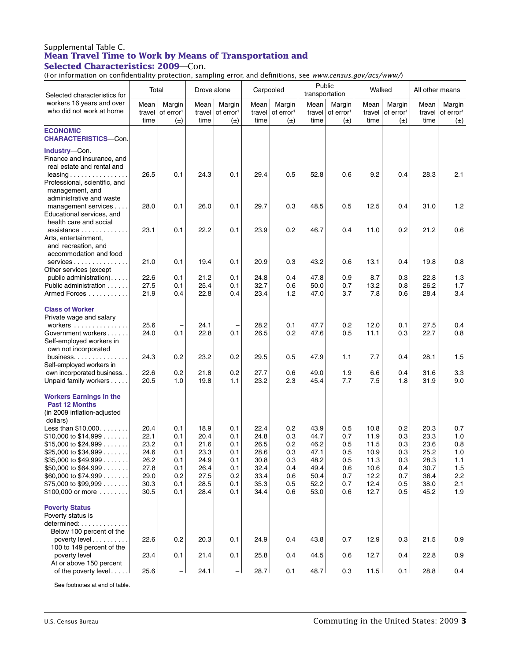# Supplemental Table C. **Mean Travel Time to Work by Means of Transportation and**

**Selected Characteristics: 2009**—Con.

(For information on confidentiality protection, sampling error, and definitions, see *www.census.gov/acs/www/*)

| Selected characteristics for                                                                                                                                                                                                                                                            | Total                                                                |                                                             | Drove alone                                                          |                                                             | Carpooled                                                            |                                                             | Public<br>transportation                                             |                                                             | Walked                                                               |                                                             | All other means                                                      |                                                             |
|-----------------------------------------------------------------------------------------------------------------------------------------------------------------------------------------------------------------------------------------------------------------------------------------|----------------------------------------------------------------------|-------------------------------------------------------------|----------------------------------------------------------------------|-------------------------------------------------------------|----------------------------------------------------------------------|-------------------------------------------------------------|----------------------------------------------------------------------|-------------------------------------------------------------|----------------------------------------------------------------------|-------------------------------------------------------------|----------------------------------------------------------------------|-------------------------------------------------------------|
| workers 16 years and over<br>who did not work at home                                                                                                                                                                                                                                   | Mean<br>travel<br>time                                               | Margin<br>of error <sup>1</sup><br>$(\pm)$                  | Mean<br>travel<br>time                                               | Margin<br>of error <sup>1</sup><br>$(\pm)$                  | Mean<br>travel<br>time                                               | Margin<br>of error <sup>1</sup><br>$(\pm)$                  | Mean<br>travel<br>time                                               | Margin<br>of error <sup>1</sup><br>$(\pm)$                  | Mean<br>travel<br>time                                               | Margin<br>of error <sup>1</sup><br>$(\pm)$                  | Mean<br>travel<br>time                                               | Margin<br>of error <sup>1</sup><br>$(\pm)$                  |
| <b>ECONOMIC</b><br><b>CHARACTERISTICS-Con.</b>                                                                                                                                                                                                                                          |                                                                      |                                                             |                                                                      |                                                             |                                                                      |                                                             |                                                                      |                                                             |                                                                      |                                                             |                                                                      |                                                             |
| Industry-Con.<br>Finance and insurance, and<br>real estate and rental and<br>$leasing \ldots \ldots \ldots \ldots$<br>Professional, scientific, and<br>management, and                                                                                                                  | 26.5                                                                 | 0.1                                                         | 24.3                                                                 | 0.1                                                         | 29.4                                                                 | 0.5                                                         | 52.8                                                                 | 0.6                                                         | 9.2                                                                  | 0.4                                                         | 28.3                                                                 | 2.1                                                         |
| administrative and waste<br>management services.<br>$\ddotsc$<br>Educational services, and<br>health care and social                                                                                                                                                                    | 28.0                                                                 | 0.1                                                         | 26.0                                                                 | 0.1                                                         | 29.7                                                                 | 0.3                                                         | 48.5                                                                 | 0.5                                                         | 12.5                                                                 | 0.4                                                         | 31.0                                                                 | 1.2                                                         |
| assistance<br>Arts, entertainment,<br>and recreation, and<br>accommodation and food                                                                                                                                                                                                     | 23.1                                                                 | 0.1                                                         | 22.2                                                                 | 0.1                                                         | 23.9                                                                 | 0.2                                                         | 46.7                                                                 | 0.4                                                         | 11.0                                                                 | 0.2                                                         | 21.2                                                                 | 0.6                                                         |
| services<br>Other services (except                                                                                                                                                                                                                                                      | 21.0                                                                 | 0.1                                                         | 19.4                                                                 | 0.1                                                         | 20.9                                                                 | 0.3                                                         | 43.2                                                                 | 0.6                                                         | 13.1                                                                 | 0.4                                                         | 19.8                                                                 | 0.8                                                         |
| public administration).<br>Public administration<br>Armed Forces                                                                                                                                                                                                                        | 22.6<br>27.5<br>21.9                                                 | 0.1<br>0.1<br>0.4                                           | 21.2<br>25.4<br>22.8                                                 | 0.1<br>0.1<br>0.4                                           | 24.8<br>32.7<br>23.4                                                 | 0.4<br>0.6<br>1.2                                           | 47.8<br>50.0<br>47.0                                                 | 0.9<br>0.7<br>3.7                                           | 8.7<br>13.2<br>7.8                                                   | 0.3<br>0.8<br>0.6                                           | 22.8<br>26.2<br>28.4                                                 | 1.3<br>1.7<br>3.4                                           |
| <b>Class of Worker</b><br>Private wage and salary<br>workers                                                                                                                                                                                                                            | 25.6                                                                 | $\overline{\phantom{0}}$                                    | 24.1                                                                 | -                                                           | 28.2                                                                 | 0.1                                                         | 47.7                                                                 | 0.2                                                         | 12.0                                                                 | 0.1                                                         | 27.5                                                                 | 0.4                                                         |
| Government workers<br>Self-employed workers in<br>own not incorporated                                                                                                                                                                                                                  | 24.0                                                                 | 0.1                                                         | 22.8                                                                 | 0.1                                                         | 26.5                                                                 | 0.2                                                         | 47.6                                                                 | 0.5                                                         | 11.1                                                                 | 0.3                                                         | 22.7                                                                 | 0.8                                                         |
| business<br>Self-employed workers in                                                                                                                                                                                                                                                    | 24.3                                                                 | 0.2                                                         | 23.2                                                                 | 0.2                                                         | 29.5                                                                 | 0.5                                                         | 47.9                                                                 | 1.1                                                         | 7.7                                                                  | 0.4                                                         | 28.1                                                                 | 1.5                                                         |
| own incorporated business.<br>Unpaid family workers                                                                                                                                                                                                                                     | 22.6<br>20.5                                                         | 0.2<br>1.0                                                  | 21.8<br>19.8                                                         | 0.2<br>1.1                                                  | 27.7<br>23.2                                                         | 0.6<br>2.3                                                  | 49.0<br>45.4                                                         | 1.9<br>7.7                                                  | 6.6<br>7.5                                                           | 0.4<br>1.8                                                  | 31.6<br>31.9                                                         | 3.3<br>9.0                                                  |
| <b>Workers Earnings in the</b><br><b>Past 12 Months</b><br>(in 2009 inflation-adjusted<br>dollars)                                                                                                                                                                                      |                                                                      |                                                             |                                                                      |                                                             |                                                                      |                                                             |                                                                      |                                                             |                                                                      |                                                             |                                                                      |                                                             |
| Less than \$10,000.<br>\$10,000 to \$14,999 $\ldots$<br>\$15,000 to \$24,999 $\ldots$<br>\$25,000 to \$34,999 $\dots$<br>$$35,000$ to $$49,999$<br>\$50,000 to \$64,999 $\ldots$<br>\$60,000 to \$74,999 $\ldots$<br>\$75,000 to \$99,999 $\ldots$<br>\$100,000 or more $\ldots \ldots$ | 20.4<br>22.1<br>23.2<br>24.6<br>26.2<br>27.8<br>29.0<br>30.3<br>30.5 | 0.1<br>0.1<br>0.1<br>0.1<br>0.1<br>0.1<br>0.2<br>0.1<br>0.1 | 18.9<br>20.4<br>21.6<br>23.3<br>24.9<br>26.4<br>27.5<br>28.5<br>28.4 | 0.1<br>0.1<br>0.1<br>0.1<br>0.1<br>0.1<br>0.2<br>0.1<br>0.1 | 22.4<br>24.8<br>26.5<br>28.6<br>30.8<br>32.4<br>33.4<br>35.3<br>34.4 | 0.2<br>0.3<br>0.2<br>0.3<br>0.3<br>0.4<br>0.6<br>0.5<br>0.6 | 43.9<br>44.7<br>46.2<br>47.1<br>48.2<br>49.4<br>50.4<br>52.2<br>53.0 | 0.5<br>0.7<br>0.5<br>0.5<br>0.5<br>0.6<br>0.7<br>0.7<br>0.6 | 10.8<br>11.9<br>11.5<br>10.9<br>11.3<br>10.6<br>12.2<br>12.4<br>12.7 | 0.2<br>0.3<br>0.3<br>0.3<br>0.3<br>0.4<br>0.7<br>0.5<br>0.5 | 20.3<br>23.3<br>23.6<br>25.2<br>28.3<br>30.7<br>36.4<br>38.0<br>45.2 | 0.7<br>1.0<br>0.8<br>1.0<br>1.1<br>1.5<br>2.2<br>2.1<br>1.9 |
| <b>Poverty Status</b><br>Poverty status is<br>determined:<br>Below 100 percent of the                                                                                                                                                                                                   |                                                                      |                                                             |                                                                      |                                                             |                                                                      |                                                             |                                                                      |                                                             |                                                                      |                                                             |                                                                      |                                                             |
| poverty level<br>100 to 149 percent of the<br>poverty level                                                                                                                                                                                                                             | 22.6<br>23.4                                                         | 0.2<br>0.1                                                  | 20.3<br>21.4                                                         | 0.1<br>0.1                                                  | 24.9<br>25.8                                                         | 0.4<br>0.4                                                  | 43.8<br>44.5                                                         | 0.7<br>0.6                                                  | 12.9<br>12.7                                                         | 0.3<br>0.4                                                  | 21.5<br>22.8                                                         | 0.9<br>0.9                                                  |
| At or above 150 percent<br>of the poverty level                                                                                                                                                                                                                                         | 25.6                                                                 | $\overline{\phantom{0}}$                                    | 24.1                                                                 | $-$                                                         | 28.7                                                                 | 0.1                                                         | 48.7                                                                 | 0.3                                                         | 11.5                                                                 | 0.1                                                         | 28.8                                                                 | 0.4                                                         |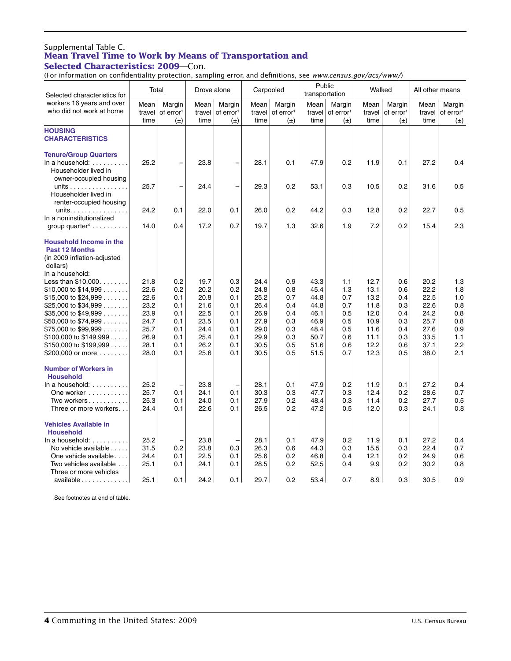# Supplemental Table C. **Mean Travel Time to Work by Means of Transportation and**

**Selected Characteristics: 2009**—Con.

| (For information on confidentiality protection, sampling error, and definitions, see www.census.gov/acs/www/)         |        |                          |             |                          |           |                       |                          |                       |        |                       |                 |                       |
|-----------------------------------------------------------------------------------------------------------------------|--------|--------------------------|-------------|--------------------------|-----------|-----------------------|--------------------------|-----------------------|--------|-----------------------|-----------------|-----------------------|
| Selected characteristics for                                                                                          | Total  |                          | Drove alone |                          | Carpooled |                       | Public<br>transportation |                       | Walked |                       | All other means |                       |
| workers 16 years and over                                                                                             | Mean   | Margin                   | Mean        | Margin                   | Mean      | Margin                | Mean                     | Margin                | Mean   | Margin                | Mean            | Margin                |
| who did not work at home                                                                                              | travel | of error <sup>1</sup>    | travel      | of error <sup>1</sup>    | travel    | of error <sup>1</sup> | travel                   | of error <sup>1</sup> | travel | of error <sup>1</sup> | travel          | of error <sup>1</sup> |
|                                                                                                                       | time   | $(\pm)$                  | time        | $(\pm)$                  | time      | $(\pm)$               | time                     | $(\pm)$               | time   | $(\pm)$               | time            | $(\pm)$               |
| <b>HOUSING</b>                                                                                                        |        |                          |             |                          |           |                       |                          |                       |        |                       |                 |                       |
| <b>CHARACTERISTICS</b>                                                                                                |        |                          |             |                          |           |                       |                          |                       |        |                       |                 |                       |
| <b>Tenure/Group Quarters</b><br>In a household: $\ldots$ ,<br>Householder lived in<br>owner-occupied housing          | 25.2   | $\overline{\phantom{0}}$ | 23.8        | $\overline{\phantom{0}}$ | 28.1      | 0.1                   | 47.9                     | 0.2                   | 11.9   | 0.1                   | 27.2            | 0.4                   |
| units<br>Householder lived in<br>renter-occupied housing                                                              | 25.7   | $\overline{\phantom{0}}$ | 24.4        | $\overline{\phantom{0}}$ | 29.3      | 0.2                   | 53.1                     | 0.3                   | 10.5   | 0.2                   | 31.6            | 0.5                   |
| units.<br>In a noninstitutionalized                                                                                   | 24.2   | 0.1                      | 22.0        | 0.1                      | 26.0      | 0.2                   | 44.2                     | 0.3                   | 12.8   | 0.2                   | 22.7            | 0.5                   |
| group quarter $4 \ldots \ldots$                                                                                       | 14.0   | 0.4                      | 17.2        | 0.7                      | 19.7      | 1.3                   | 32.6                     | 1.9                   | 7.2    | 0.2                   | 15.4            | 2.3                   |
| <b>Household Income in the</b><br><b>Past 12 Months</b><br>(in 2009 inflation-adjusted<br>dollars)<br>In a household: |        |                          |             |                          |           |                       |                          |                       |        |                       |                 |                       |
| Less than $$10,000$                                                                                                   | 21.8   | 0.2                      | 19.7        | 0.3                      | 24.4      | 0.9                   | 43.3                     | 1.1                   | 12.7   | 0.6                   | 20.2            | 1.3                   |
| $$10,000$ to $$14,999$                                                                                                | 22.6   | 0.2                      | 20.2        | 0.2                      | 24.8      | 0.8                   | 45.4                     | 1.3                   | 13.1   | 0.6                   | 22.2            | 1.8                   |
| \$15,000 to \$24,999 $\ldots$                                                                                         | 22.6   | 0.1                      | 20.8        | 0.1                      | 25.2      | 0.7                   | 44.8                     | 0.7                   | 13.2   | 0.4                   | 22.5            | 1.0                   |
| \$25,000 to \$34,999 $\dots$                                                                                          | 23.2   | 0.1                      | 21.6        | 0.1                      | 26.4      | 0.4                   | 44.8                     | 0.7                   | 11.8   | 0.3                   | 22.6            | 0.8                   |
| \$35,000 to \$49,999 $\ldots$                                                                                         | 23.9   | 0.1                      | 22.5        | 0.1                      | 26.9      | 0.4                   | 46.1                     | 0.5                   | 12.0   | 0.4                   | 24.2            | 0.8                   |
| \$50,000 to \$74,999 $\ldots$                                                                                         | 24.7   | 0.1                      | 23.5        | 0.1                      | 27.9      | 0.3                   | 46.9                     | 0.5                   | 10.9   | 0.3                   | 25.7            | 0.8                   |
| $$75,000$ to $$99,999$                                                                                                | 25.7   | 0.1                      | 24.4        | 0.1                      | 29.0      | 0.3                   | 48.4                     | 0.5                   | 11.6   | 0.4                   | 27.6            | 0.9                   |
| $$100,000$ to $$149,999$                                                                                              | 26.9   | 0.1                      | 25.4        | 0.1                      | 29.9      | 0.3                   | 50.7                     | 0.6                   | 11.1   | 0.3                   | 33.5            | 1.1                   |
| $$150,000$ to $$199,999$                                                                                              | 28.1   | 0.1                      | 26.2        | 0.1                      | 30.5      | 0.5                   | 51.6                     | 0.6                   | 12.2   | 0.6                   | 37.1            | 2.2                   |
| \$200,000 or more $\dots\dots$                                                                                        | 28.0   | 0.1                      | 25.6        | 0.1                      | 30.5      | 0.5                   | 51.5                     | 0.7                   | 12.3   | 0.5                   | 38.0            | 2.1                   |
| <b>Number of Workers in</b><br><b>Household</b>                                                                       |        |                          |             |                          |           |                       |                          |                       |        |                       |                 |                       |
| In a household: $\ldots \ldots \ldots$                                                                                | 25.2   | $\overline{\phantom{0}}$ | 23.8        | $\overline{\phantom{0}}$ | 28.1      | 0.1                   | 47.9                     | 0.2                   | 11.9   | 0.1                   | 27.2            | 0.4                   |
| One worker                                                                                                            | 25.7   | 0.1                      | 24.1        | 0.1                      | 30.3      | 0.3                   | 47.7                     | 0.3                   | 12.4   | 0.2                   | 28.6            | 0.7                   |
| Two workers $\dots$                                                                                                   | 25.3   | 0.1                      | 24.0        | 0.1                      | 27.9      | 0.2                   | 48.4                     | 0.3                   | 11.4   | 0.2                   | 27.7            | 0.5                   |
| Three or more workers                                                                                                 | 24.4   | 0.1                      | 22.6        | 0.1                      | 26.5      | 0.2                   | 47.2                     | 0.5                   | 12.0   | 0.3                   | 24.1            | 0.8                   |
| <b>Vehicles Available in</b><br><b>Household</b>                                                                      |        |                          |             |                          |           |                       |                          |                       |        |                       |                 |                       |
| In a household: $\dots\dots\dots$                                                                                     | 25.2   | <sup>-</sup>             | 23.8        | $\overline{\phantom{0}}$ | 28.1      | 0.1                   | 47.9                     | 0.2                   | 11.9   | 0.1                   | 27.2            | 0.4                   |
| No vehicle available                                                                                                  | 31.5   | 0.2                      | 23.8        | 0.3                      | 26.3      | 0.6                   | 44.3                     | 0.3                   | 15.5   | 0.3                   | 22.4            | 0.7                   |
| One vehicle available                                                                                                 | 24.4   | 0.1                      | 22.5        | 0.1                      | 25.6      | 0.2                   | 46.8                     | 0.4                   | 12.1   | 0.2                   | 24.9            | 0.6                   |
| Two vehicles available<br>Three or more vehicles                                                                      | 25.1   | 0.1                      | 24.1        | 0.1                      | 28.5      | 0.2                   | 52.5                     | 0.4                   | 9.9    | 0.2                   | 30.2            | 0.8                   |
| available                                                                                                             | 25.1   | 0.1                      | 24.2        | 0.1                      | 29.7      | 0.2                   | 53.4                     | 0.7                   | 8.9    | 0.3                   | 30.5            | 0.9                   |